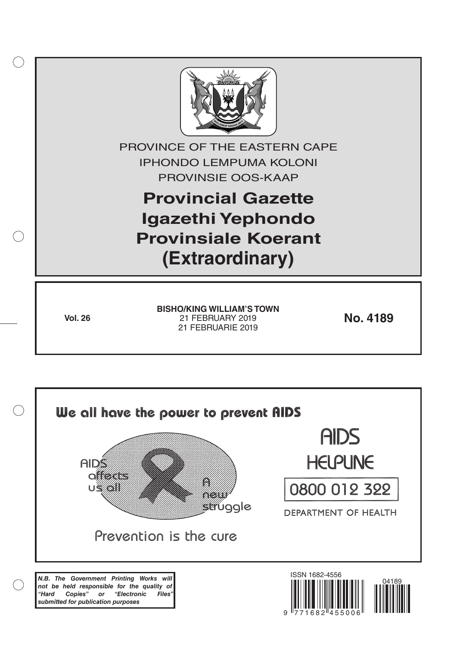

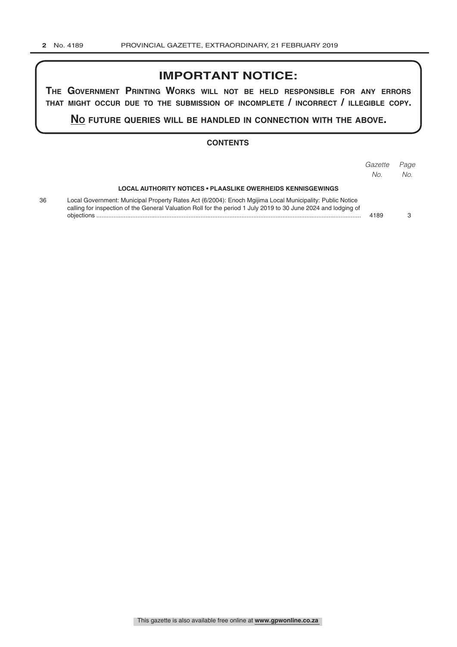## **IMPORTANT NOTICE:**

**The GovernmenT PrinTinG Works Will noT be held resPonsible for any errors ThaT miGhT occur due To The submission of incomPleTe / incorrecT / illeGible coPy.**

**no fuTure queries Will be handled in connecTion WiTh The above.**

### **CONTENTS**

|    |                                                                                                                                                                                                                            | Gazette<br>No. | Page<br>No. |
|----|----------------------------------------------------------------------------------------------------------------------------------------------------------------------------------------------------------------------------|----------------|-------------|
|    | <b>LOCAL AUTHORITY NOTICES • PLAASLIKE OWERHEIDS KENNISGEWINGS</b>                                                                                                                                                         |                |             |
| 36 | Local Government: Municipal Property Rates Act (6/2004): Enoch Mgijima Local Municipality: Public Notice<br>calling for inspection of the General Valuation Roll for the period 1 July 2019 to 30 June 2024 and lodging of | 4189           |             |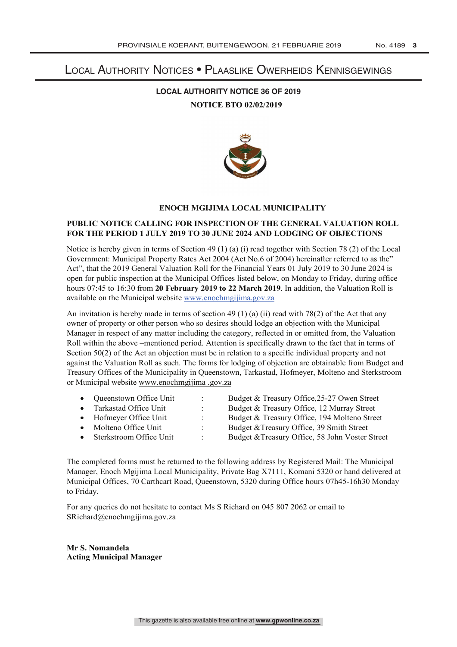# Local Authority Notices • Plaaslike Owerheids Kennisgewings

### **LOCAL AUTHORITY NOTICE 36 OF 2019 NOTICE BTO 02/02/2019**



### **ENOCH MGIJIMA LOCAL MUNICIPALITY**

### **PUBLIC NOTICE CALLING FOR INSPECTION OF THE GENERAL VALUATION ROLL FOR THE PERIOD 1 JULY 2019 TO 30 JUNE 2024 AND LODGING OF OBJECTIONS**

Notice is hereby given in terms of Section 49 (1) (a) (i) read together with Section 78 (2) of the Local Government: Municipal Property Rates Act 2004 (Act No.6 of 2004) hereinafter referred to as the" Act", that the 2019 General Valuation Roll for the Financial Years 01 July 2019 to 30 June 2024 is open for public inspection at the Municipal Offices listed below, on Monday to Friday, during office hours 07:45 to 16:30 from **20 February 2019 to 22 March 2019**. In addition, the Valuation Roll is available on the Municipal website www.enochmgijima.gov.za

An invitation is hereby made in terms of section 49 (1) (a) (ii) read with 78(2) of the Act that any owner of property or other person who so desires should lodge an objection with the Municipal Manager in respect of any matter including the category, reflected in or omitted from, the Valuation Roll within the above –mentioned period. Attention is specifically drawn to the fact that in terms of Section 50(2) of the Act an objection must be in relation to a specific individual property and not against the Valuation Roll as such. The forms for lodging of objection are obtainable from Budget and Treasury Offices of the Municipality in Queenstown, Tarkastad, Hofmeyer, Molteno and Sterkstroom or Municipal website www.enochmgijima .gov.za

|           | • Queenstown Office Unit  | Budget & Treasury Office, 25-27 Owen Street     |
|-----------|---------------------------|-------------------------------------------------|
|           | • Tarkastad Office Unit   | Budget & Treasury Office, 12 Murray Street      |
|           | • Hofmeyer Office Unit    | Budget & Treasury Office, 194 Molteno Street    |
| $\bullet$ | Molteno Office Unit       | Budget & Treasury Office, 39 Smith Street       |
|           | • Sterkstroom Office Unit | Budget & Treasury Office, 58 John Voster Street |

The completed forms must be returned to the following address by Registered Mail: The Municipal Manager, Enoch Mgijima Local Municipality, Private Bag X7111, Komani 5320 or hand delivered at Municipal Offices, 70 Carthcart Road, Queenstown, 5320 during Office hours 07h45-16h30 Monday to Friday.

For any queries do not hesitate to contact Ms S Richard on 045 807 2062 or email to SRichard@enochmgijima.gov.za

**Mr S. Nomandela Acting Municipal Manager**